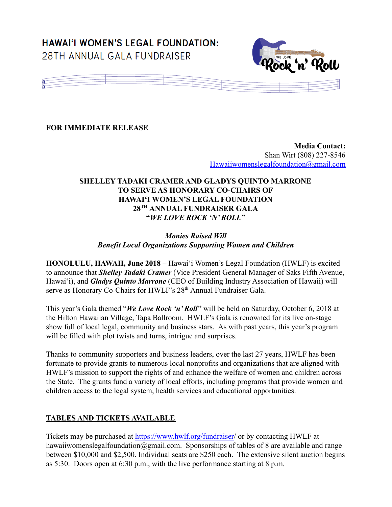# **HAWAI'I WOMEN'S LEGAL FOUNDATION:** 28TH ANNUAL GALA FUNDRAISER





**FOR IMMEDIATE RELEASE**

**Media Contact:** Shan Wirt (808) 227-8546 [Hawaiiwomenslegalfoundation@gmail.com](mailto:Hawaiiwomenslegalfoundation@gmail.com)

# **SHELLEY TADAKI CRAMER AND GLADYS QUINTO MARRONE TO SERVE AS HONORARY CO-CHAIRS OF HAWAI'I WOMEN'S LEGAL FOUNDATION 28TH ANNUAL FUNDRAISER GALA "***WE LOVE ROCK 'N' ROLL***"**

# *Monies Raised Will Benefit Local Organizations Supporting Women and Children*

**HONOLULU, HAWAII, June 2018** – Hawai'i Women's Legal Foundation (HWLF) is excited to announce that *Shelley Tadaki Cramer* (Vice President General Manager of Saks Fifth Avenue, Hawai'i), and *Gladys Quinto Marrone* (CEO of Building Industry Association of Hawaii) will serve as Honorary Co-Chairs for HWLF's 28<sup>th</sup> Annual Fundraiser Gala.

This year's Gala themed "*We Love Rock 'n' Roll*" will be held on Saturday, October 6, 2018 at the Hilton Hawaiian Village, Tapa Ballroom. HWLF's Gala is renowned for its live on-stage show full of local legal, community and business stars. As with past years, this year's program will be filled with plot twists and turns, intrigue and surprises.

Thanks to community supporters and business leaders, over the last 27 years, HWLF has been fortunate to provide grants to numerous local nonprofits and organizations that are aligned with HWLF's mission to support the rights of and enhance the welfare of women and children across the State. The grants fund a variety of local efforts, including programs that provide women and children access to the legal system, health services and educational opportunities.

# **TABLES AND TICKETS AVAILABLE**

Tickets may be purchased at [https://www.hwlf.org/fundraiser/](https://www.hwlf.org/fundraiser) or by contacting HWLF at hawaiiwomenslegalfoundation@gmail.com. Sponsorships of tables of 8 are available and range between \$10,000 and \$2,500. Individual seats are \$250 each. The extensive silent auction begins as 5:30. Doors open at 6:30 p.m., with the live performance starting at 8 p.m.